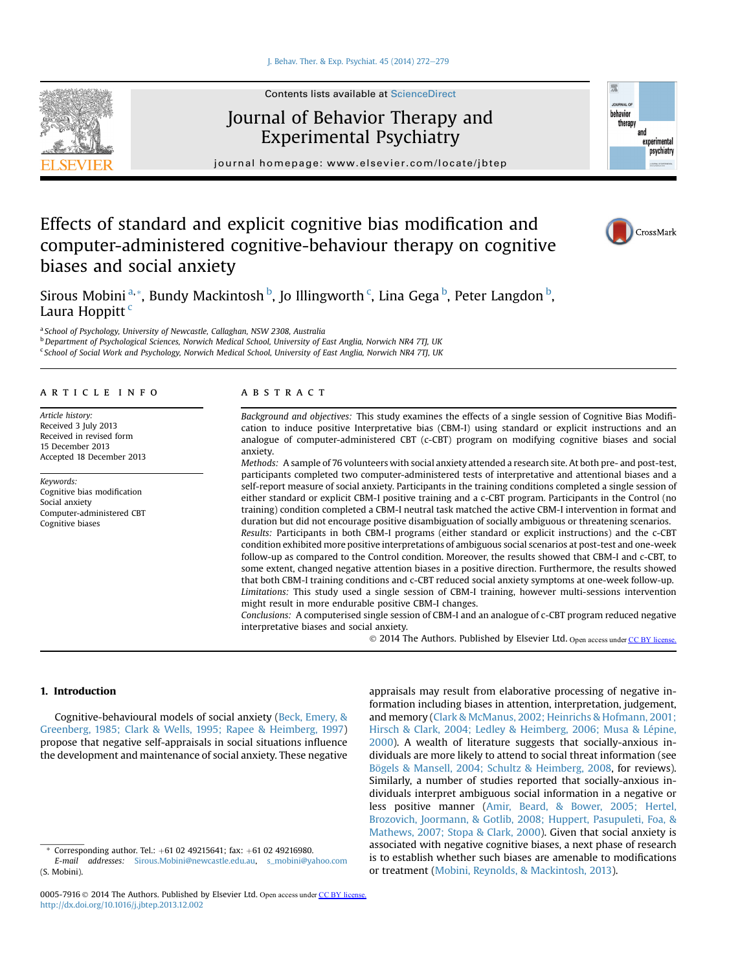

# Journal of Behavior Therapy and Experimental Psychiatry

journal homepage: [www.elsevier.com/locate/jbtep](http://www.elsevier.com/locate/jbtep)

# Effects of standard and explicit cognitive bias modification and computer-administered cognitive-behaviour therapy on cognitive biases and social anxiety



behavior therapy and experimental psychiatry

Sirous Mobini <sup>a, \*</sup>, Bundy Mackintosh <sup>b</sup>, Jo Illingworth <sup>c</sup>, Lina Gega <sup>b</sup>, Peter Langdon <sup>b</sup>, Laura Hoppitt<sup>c</sup>

a School of Psychology, University of Newcastle, Callaghan, NSW 2308, Australia

b Department of Psychological Sciences, Norwich Medical School, University of East Anglia, Norwich NR4 7TJ, UK

<sup>c</sup> School of Social Work and Psychology, Norwich Medical School, University of East Anglia, Norwich NR4 7TJ, UK

## article info

Article history: Received 3 July 2013 Received in revised form 15 December 2013 Accepted 18 December 2013

Keywords: Cognitive bias modification Social anxiety Computer-administered CBT Cognitive biases

# **ABSTRACT**

Background and objectives: This study examines the effects of a single session of Cognitive Bias Modification to induce positive Interpretative bias (CBM-I) using standard or explicit instructions and an analogue of computer-administered CBT (c-CBT) program on modifying cognitive biases and social anxiety.

Methods: A sample of 76 volunteers with social anxiety attended a research site. At both pre- and post-test, participants completed two computer-administered tests of interpretative and attentional biases and a self-report measure of social anxiety. Participants in the training conditions completed a single session of either standard or explicit CBM-I positive training and a c-CBT program. Participants in the Control (no training) condition completed a CBM-I neutral task matched the active CBM-I intervention in format and duration but did not encourage positive disambiguation of socially ambiguous or threatening scenarios. Results: Participants in both CBM-I programs (either standard or explicit instructions) and the c-CBT condition exhibited more positive interpretations of ambiguous social scenarios at post-test and one-week follow-up as compared to the Control condition. Moreover, the results showed that CBM-I and c-CBT, to some extent, changed negative attention biases in a positive direction. Furthermore, the results showed that both CBM-I training conditions and c-CBT reduced social anxiety symptoms at one-week follow-up. Limitations: This study used a single session of CBM-I training, however multi-sessions intervention might result in more endurable positive CBM-I changes.

Conclusions: A computerised single session of CBM-I and an analogue of c-CBT program reduced negative interpretative biases and social anxiety.

© 2014 The Authors. Published by Elsevier Ltd. Open access under [CC BY license.](http://creativecommons.org/licenses/by/3.0/)

appraisals may result from elaborative processing of negative information including biases in attention, interpretation, judgement, and memory [\(Clark & McManus, 2002; Heinrichs & Hofmann, 2001;](#page-7-0)

# 1. Introduction

Cognitive-behavioural models of social anxiety ([Beck, Emery, &](#page-7-0) [Greenberg, 1985; Clark & Wells, 1995; Rapee & Heimberg, 1997\)](#page-7-0) propose that negative self-appraisals in social situations influence the development and maintenance of social anxiety. These negative

<sup>\*</sup> Corresponding author. Tel.:  $+61$  02 49215641; fax:  $+61$  02 49216980.

E-mail addresses: [Sirous.Mobini@newcastle.edu.au,](mailto:Sirous.Mobini@newcastle.edu.au) [s\\_mobini@yahoo.com](mailto:s_mobini@yahoo.com) (S. Mobini).

[Hirsch & Clark, 2004; Ledley & Heimberg, 2006; Musa & Lépine,](#page-7-0) [2000](#page-7-0)). A wealth of literature suggests that socially-anxious individuals are more likely to attend to social threat information (see [Bögels & Mansell, 2004; Schultz & Heimberg, 2008,](#page-7-0) for reviews). Similarly, a number of studies reported that socially-anxious individuals interpret ambiguous social information in a negative or less positive manner ([Amir, Beard, & Bower, 2005; Hertel,](#page-6-0) [Brozovich, Joormann, & Gotlib, 2008; Huppert, Pasupuleti, Foa, &](#page-6-0) [Mathews, 2007; Stopa & Clark, 2000\)](#page-6-0). Given that social anxiety is associated with negative cognitive biases, a next phase of research is to establish whether such biases are amenable to modifications or treatment ([Mobini, Reynolds, & Mackintosh, 2013](#page-7-0)).

<sup>0005-7916 © 2014</sup> The Authors. Published by Elsevier Ltd. Open access under [CC BY license.](http://creativecommons.org/licenses/by/3.0/) <http://dx.doi.org/10.1016/j.jbtep.2013.12.002>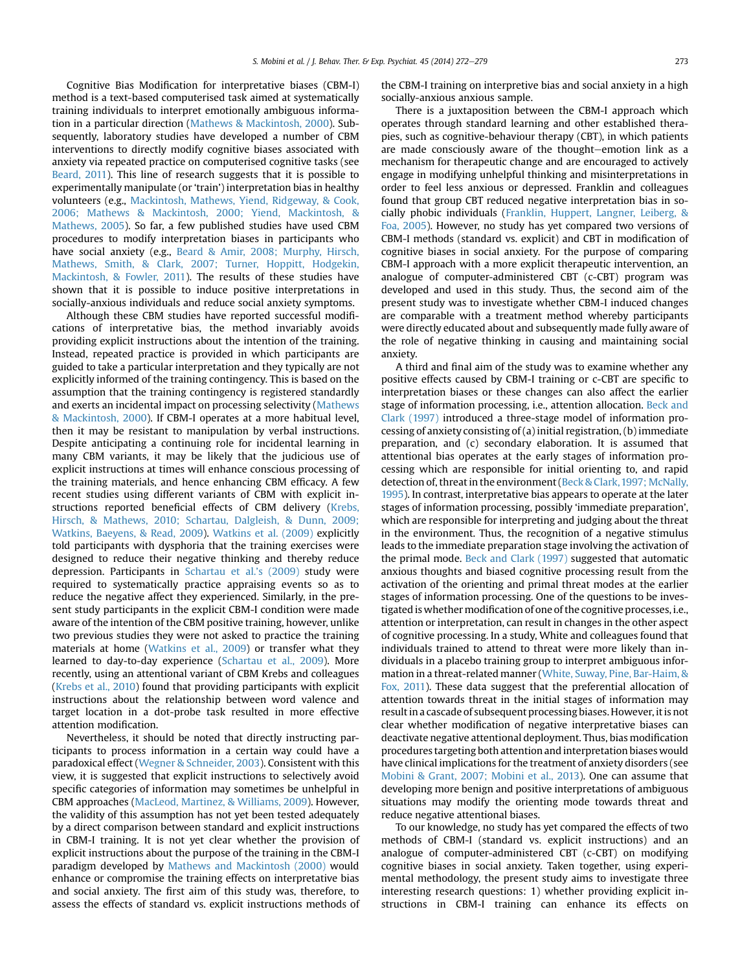Cognitive Bias Modification for interpretative biases (CBM-I) method is a text-based computerised task aimed at systematically training individuals to interpret emotionally ambiguous information in a particular direction [\(Mathews & Mackintosh, 2000\)](#page-7-0). Subsequently, laboratory studies have developed a number of CBM interventions to directly modify cognitive biases associated with anxiety via repeated practice on computerised cognitive tasks (see [Beard, 2011](#page-7-0)). This line of research suggests that it is possible to experimentally manipulate (or 'train') interpretation bias in healthy volunteers (e.g., [Mackintosh, Mathews, Yiend, Ridgeway, & Cook,](#page-7-0) [2006; Mathews & Mackintosh, 2000; Yiend, Mackintosh, &](#page-7-0) [Mathews, 2005\)](#page-7-0). So far, a few published studies have used CBM procedures to modify interpretation biases in participants who have social anxiety (e.g., [Beard & Amir, 2008; Murphy, Hirsch,](#page-7-0) [Mathews, Smith, & Clark, 2007; Turner, Hoppitt, Hodgekin,](#page-7-0) [Mackintosh, & Fowler, 2011\)](#page-7-0). The results of these studies have shown that it is possible to induce positive interpretations in socially-anxious individuals and reduce social anxiety symptoms.

Although these CBM studies have reported successful modifications of interpretative bias, the method invariably avoids providing explicit instructions about the intention of the training. Instead, repeated practice is provided in which participants are guided to take a particular interpretation and they typically are not explicitly informed of the training contingency. This is based on the assumption that the training contingency is registered standardly and exerts an incidental impact on processing selectivity ([Mathews](#page-7-0) [& Mackintosh, 2000\)](#page-7-0). If CBM-I operates at a more habitual level, then it may be resistant to manipulation by verbal instructions. Despite anticipating a continuing role for incidental learning in many CBM variants, it may be likely that the judicious use of explicit instructions at times will enhance conscious processing of the training materials, and hence enhancing CBM efficacy. A few recent studies using different variants of CBM with explicit instructions reported beneficial effects of CBM delivery [\(Krebs,](#page-7-0) [Hirsch, & Mathews, 2010; Schartau, Dalgleish, & Dunn, 2009;](#page-7-0) [Watkins, Baeyens, & Read, 2009\)](#page-7-0). [Watkins et al. \(2009\)](#page-7-0) explicitly told participants with dysphoria that the training exercises were designed to reduce their negative thinking and thereby reduce depression. Participants in [Schartau et al.](#page-7-0)'s (2009) study were required to systematically practice appraising events so as to reduce the negative affect they experienced. Similarly, in the present study participants in the explicit CBM-I condition were made aware of the intention of the CBM positive training, however, unlike two previous studies they were not asked to practice the training materials at home [\(Watkins et al., 2009](#page-7-0)) or transfer what they learned to day-to-day experience [\(Schartau et al., 2009](#page-7-0)). More recently, using an attentional variant of CBM Krebs and colleagues ([Krebs et al., 2010\)](#page-7-0) found that providing participants with explicit instructions about the relationship between word valence and target location in a dot-probe task resulted in more effective attention modification.

Nevertheless, it should be noted that directly instructing participants to process information in a certain way could have a paradoxical effect [\(Wegner & Schneider, 2003](#page-7-0)). Consistent with this view, it is suggested that explicit instructions to selectively avoid specific categories of information may sometimes be unhelpful in CBM approaches [\(MacLeod, Martinez, & Williams, 2009\)](#page-7-0). However, the validity of this assumption has not yet been tested adequately by a direct comparison between standard and explicit instructions in CBM-I training. It is not yet clear whether the provision of explicit instructions about the purpose of the training in the CBM-I paradigm developed by [Mathews and Mackintosh \(2000\)](#page-7-0) would enhance or compromise the training effects on interpretative bias and social anxiety. The first aim of this study was, therefore, to assess the effects of standard vs. explicit instructions methods of the CBM-I training on interpretive bias and social anxiety in a high socially-anxious anxious sample.

There is a juxtaposition between the CBM-I approach which operates through standard learning and other established therapies, such as cognitive-behaviour therapy (CBT), in which patients are made consciously aware of the thought-emotion link as a mechanism for therapeutic change and are encouraged to actively engage in modifying unhelpful thinking and misinterpretations in order to feel less anxious or depressed. Franklin and colleagues found that group CBT reduced negative interpretation bias in socially phobic individuals [\(Franklin, Huppert, Langner, Leiberg, &](#page-7-0) [Foa, 2005\)](#page-7-0). However, no study has yet compared two versions of CBM-I methods (standard vs. explicit) and CBT in modification of cognitive biases in social anxiety. For the purpose of comparing CBM-I approach with a more explicit therapeutic intervention, an analogue of computer-administered CBT (c-CBT) program was developed and used in this study. Thus, the second aim of the present study was to investigate whether CBM-I induced changes are comparable with a treatment method whereby participants were directly educated about and subsequently made fully aware of the role of negative thinking in causing and maintaining social anxiety.

A third and final aim of the study was to examine whether any positive effects caused by CBM-I training or c-CBT are specific to interpretation biases or these changes can also affect the earlier stage of information processing, i.e., attention allocation. [Beck and](#page-7-0) [Clark \(1997\)](#page-7-0) introduced a three-stage model of information processing of anxiety consisting of (a) initial registration, (b) immediate preparation, and (c) secondary elaboration. It is assumed that attentional bias operates at the early stages of information processing which are responsible for initial orienting to, and rapid detection of, threat in the environment [\(Beck & Clark,1997; McNally,](#page-7-0) [1995\)](#page-7-0). In contrast, interpretative bias appears to operate at the later stages of information processing, possibly 'immediate preparation', which are responsible for interpreting and judging about the threat in the environment. Thus, the recognition of a negative stimulus leads to the immediate preparation stage involving the activation of the primal mode. [Beck and Clark \(1997\)](#page-7-0) suggested that automatic anxious thoughts and biased cognitive processing result from the activation of the orienting and primal threat modes at the earlier stages of information processing. One of the questions to be investigated is whether modification of one of the cognitive processes, i.e., attention or interpretation, can result in changes in the other aspect of cognitive processing. In a study, White and colleagues found that individuals trained to attend to threat were more likely than individuals in a placebo training group to interpret ambiguous information in a threat-related manner [\(White, Suway, Pine, Bar-Haim, &](#page-7-0) [Fox, 2011\)](#page-7-0). These data suggest that the preferential allocation of attention towards threat in the initial stages of information may result in a cascade of subsequent processing biases. However, it is not clear whether modification of negative interpretative biases can deactivate negative attentional deployment. Thus, bias modification procedures targeting both attention and interpretation biases would have clinical implications for the treatment of anxiety disorders (see [Mobini & Grant, 2007; Mobini et al., 2013\)](#page-7-0). One can assume that developing more benign and positive interpretations of ambiguous situations may modify the orienting mode towards threat and reduce negative attentional biases.

To our knowledge, no study has yet compared the effects of two methods of CBM-I (standard vs. explicit instructions) and an analogue of computer-administered CBT (c-CBT) on modifying cognitive biases in social anxiety. Taken together, using experimental methodology, the present study aims to investigate three interesting research questions: 1) whether providing explicit instructions in CBM-I training can enhance its effects on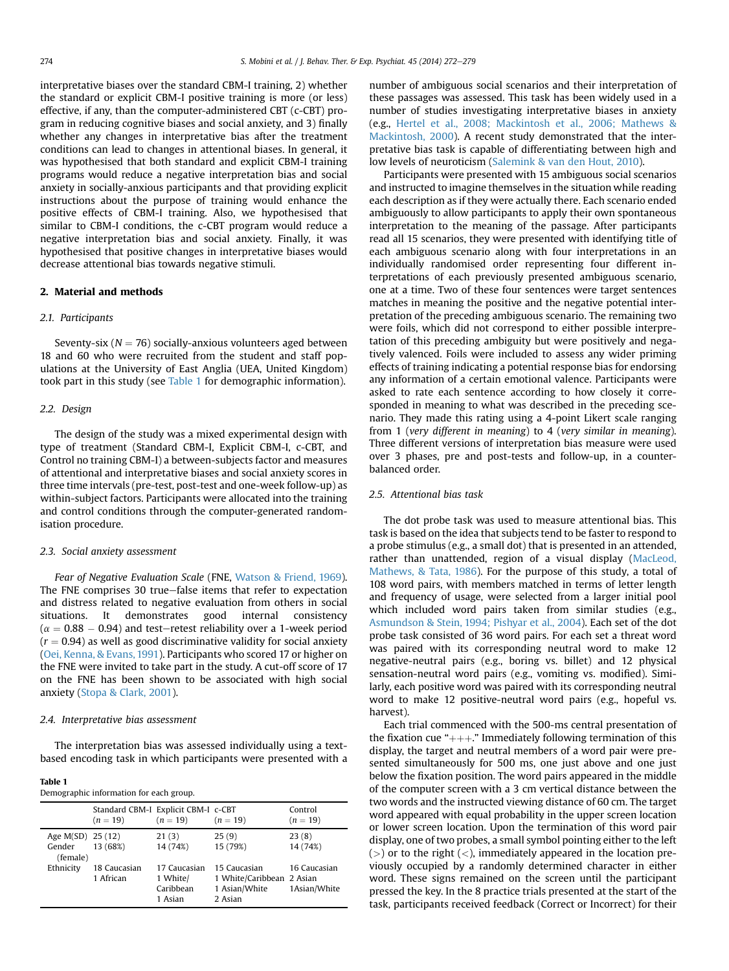<span id="page-2-0"></span>interpretative biases over the standard CBM-I training, 2) whether the standard or explicit CBM-I positive training is more (or less) effective, if any, than the computer-administered CBT (c-CBT) program in reducing cognitive biases and social anxiety, and 3) finally whether any changes in interpretative bias after the treatment conditions can lead to changes in attentional biases. In general, it was hypothesised that both standard and explicit CBM-I training programs would reduce a negative interpretation bias and social anxiety in socially-anxious participants and that providing explicit instructions about the purpose of training would enhance the positive effects of CBM-I training. Also, we hypothesised that similar to CBM-I conditions, the c-CBT program would reduce a negative interpretation bias and social anxiety. Finally, it was hypothesised that positive changes in interpretative biases would decrease attentional bias towards negative stimuli.

# 2. Material and methods

#### 2.1. Participants

Seventy-six ( $N = 76$ ) socially-anxious volunteers aged between 18 and 60 who were recruited from the student and staff populations at the University of East Anglia (UEA, United Kingdom) took part in this study (see Table 1 for demographic information).

#### 2.2. Design

The design of the study was a mixed experimental design with type of treatment (Standard CBM-I, Explicit CBM-I, c-CBT, and Control no training CBM-I) a between-subjects factor and measures of attentional and interpretative biases and social anxiety scores in three time intervals (pre-test, post-test and one-week follow-up) as within-subject factors. Participants were allocated into the training and control conditions through the computer-generated randomisation procedure.

#### 2.3. Social anxiety assessment

Fear of Negative Evaluation Scale (FNE, [Watson & Friend, 1969\)](#page-7-0). The FNE comprises 30 true-false items that refer to expectation and distress related to negative evaluation from others in social situations. It demonstrates good internal consistency  $(\alpha = 0.88 - 0.94)$  and test–retest reliability over a 1-week period  $(r = 0.94)$  as well as good discriminative validity for social anxiety ([Oei, Kenna, & Evans, 1991\)](#page-7-0). Participants who scored 17 or higher on the FNE were invited to take part in the study. A cut-off score of 17 on the FNE has been shown to be associated with high social anxiety [\(Stopa & Clark, 2001\)](#page-7-0).

#### 2.4. Interpretative bias assessment

The interpretation bias was assessed individually using a textbased encoding task in which participants were presented with a

#### Table 1

| Demographic information for each group. |  |  |  |  |
|-----------------------------------------|--|--|--|--|
|-----------------------------------------|--|--|--|--|

|                                         | Standard CBM-I Explicit CBM-I c-CBT<br>$(n = 19)$ | $(n = 19)$                                       | $(n = 19)$                                                            | Control<br>$(n = 19)$        |
|-----------------------------------------|---------------------------------------------------|--------------------------------------------------|-----------------------------------------------------------------------|------------------------------|
| Age M(SD) 25 (12)<br>Gender<br>(female) | 13 (68%)                                          | 21(3)<br>14 (74%)                                | 25(9)<br>15 (79%)                                                     | 23(8)<br>14 (74%)            |
| Ethnicity                               | 18 Caucasian<br>1 African                         | 17 Caucasian<br>1 White/<br>Caribbean<br>1 Asian | 15 Caucasian<br>1 White/Caribbean 2 Asian<br>1 Asian/White<br>2 Asian | 16 Caucasian<br>1Asian/White |

number of ambiguous social scenarios and their interpretation of these passages was assessed. This task has been widely used in a number of studies investigating interpretative biases in anxiety (e.g., [Hertel et al., 2008; Mackintosh et al., 2006; Mathews &](#page-7-0) [Mackintosh, 2000\)](#page-7-0). A recent study demonstrated that the interpretative bias task is capable of differentiating between high and low levels of neuroticism ([Salemink & van den Hout, 2010](#page-7-0)).

Participants were presented with 15 ambiguous social scenarios and instructed to imagine themselves in the situation while reading each description as if they were actually there. Each scenario ended ambiguously to allow participants to apply their own spontaneous interpretation to the meaning of the passage. After participants read all 15 scenarios, they were presented with identifying title of each ambiguous scenario along with four interpretations in an individually randomised order representing four different interpretations of each previously presented ambiguous scenario, one at a time. Two of these four sentences were target sentences matches in meaning the positive and the negative potential interpretation of the preceding ambiguous scenario. The remaining two were foils, which did not correspond to either possible interpretation of this preceding ambiguity but were positively and negatively valenced. Foils were included to assess any wider priming effects of training indicating a potential response bias for endorsing any information of a certain emotional valence. Participants were asked to rate each sentence according to how closely it corresponded in meaning to what was described in the preceding scenario. They made this rating using a 4-point Likert scale ranging from 1 (very different in meaning) to 4 (very similar in meaning). Three different versions of interpretation bias measure were used over 3 phases, pre and post-tests and follow-up, in a counterbalanced order.

# 2.5. Attentional bias task

The dot probe task was used to measure attentional bias. This task is based on the idea that subjects tend to be faster to respond to a probe stimulus (e.g., a small dot) that is presented in an attended, rather than unattended, region of a visual display [\(MacLeod,](#page-7-0) [Mathews, & Tata, 1986\)](#page-7-0). For the purpose of this study, a total of 108 word pairs, with members matched in terms of letter length and frequency of usage, were selected from a larger initial pool which included word pairs taken from similar studies (e.g., [Asmundson & Stein, 1994; Pishyar et al., 2004\)](#page-7-0). Each set of the dot probe task consisted of 36 word pairs. For each set a threat word was paired with its corresponding neutral word to make 12 negative-neutral pairs (e.g., boring vs. billet) and 12 physical sensation-neutral word pairs (e.g., vomiting vs. modified). Similarly, each positive word was paired with its corresponding neutral word to make 12 positive-neutral word pairs (e.g., hopeful vs. harvest).

Each trial commenced with the 500-ms central presentation of the fixation cue " $+++$ ." Immediately following termination of this display, the target and neutral members of a word pair were presented simultaneously for 500 ms, one just above and one just below the fixation position. The word pairs appeared in the middle of the computer screen with a 3 cm vertical distance between the two words and the instructed viewing distance of 60 cm. The target word appeared with equal probability in the upper screen location or lower screen location. Upon the termination of this word pair display, one of two probes, a small symbol pointing either to the left  $(>)$  or to the right  $(<)$ , immediately appeared in the location previously occupied by a randomly determined character in either word. These signs remained on the screen until the participant pressed the key. In the 8 practice trials presented at the start of the task, participants received feedback (Correct or Incorrect) for their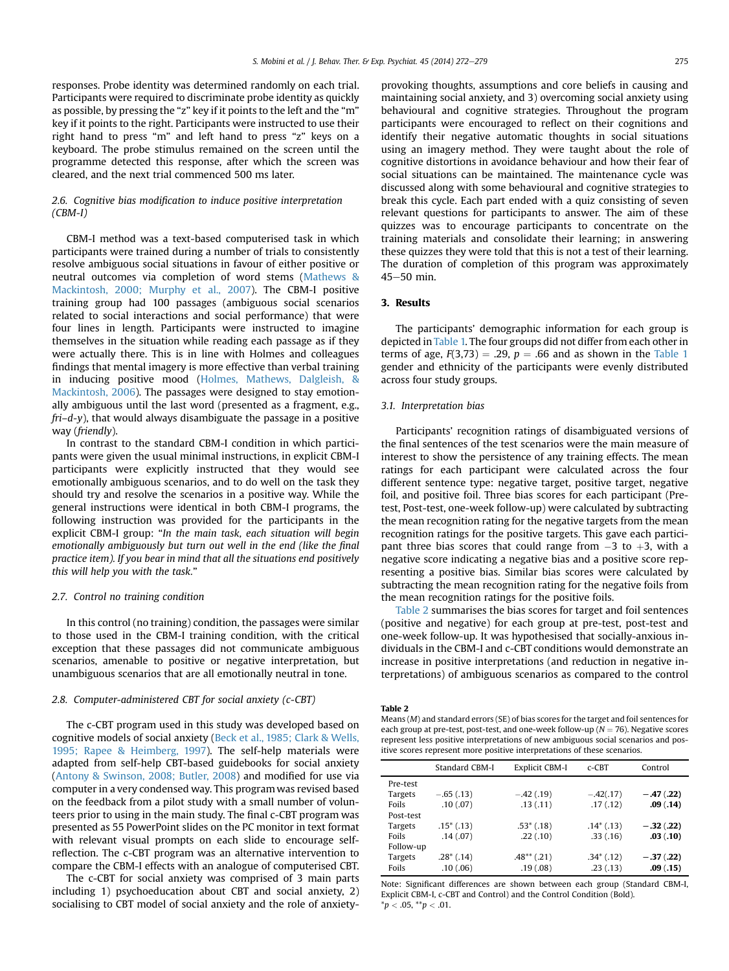responses. Probe identity was determined randomly on each trial. Participants were required to discriminate probe identity as quickly as possible, by pressing the "z" key if it points to the left and the "m" key if it points to the right. Participants were instructed to use their right hand to press "m" and left hand to press "z" keys on a keyboard. The probe stimulus remained on the screen until the programme detected this response, after which the screen was cleared, and the next trial commenced 500 ms later.

# 2.6. Cognitive bias modification to induce positive interpretation (CBM-I)

CBM-I method was a text-based computerised task in which participants were trained during a number of trials to consistently resolve ambiguous social situations in favour of either positive or neutral outcomes via completion of word stems [\(Mathews &](#page-7-0) [Mackintosh, 2000; Murphy et al., 2007](#page-7-0)). The CBM-I positive training group had 100 passages (ambiguous social scenarios related to social interactions and social performance) that were four lines in length. Participants were instructed to imagine themselves in the situation while reading each passage as if they were actually there. This is in line with Holmes and colleagues findings that mental imagery is more effective than verbal training in inducing positive mood [\(Holmes, Mathews, Dalgleish, &](#page-7-0) [Mackintosh, 2006\)](#page-7-0). The passages were designed to stay emotionally ambiguous until the last word (presented as a fragment, e.g.,  $fri-d-y$ ), that would always disambiguate the passage in a positive way (friendly).

In contrast to the standard CBM-I condition in which participants were given the usual minimal instructions, in explicit CBM-I participants were explicitly instructed that they would see emotionally ambiguous scenarios, and to do well on the task they should try and resolve the scenarios in a positive way. While the general instructions were identical in both CBM-I programs, the following instruction was provided for the participants in the explicit CBM-I group: "In the main task, each situation will begin emotionally ambiguously but turn out well in the end (like the final practice item). If you bear in mind that all the situations end positively this will help you with the task."

### 2.7. Control no training condition

In this control (no training) condition, the passages were similar to those used in the CBM-I training condition, with the critical exception that these passages did not communicate ambiguous scenarios, amenable to positive or negative interpretation, but unambiguous scenarios that are all emotionally neutral in tone.

# 2.8. Computer-administered CBT for social anxiety (c-CBT)

The c-CBT program used in this study was developed based on cognitive models of social anxiety ([Beck et al., 1985; Clark & Wells,](#page-7-0) [1995; Rapee & Heimberg, 1997\)](#page-7-0). The self-help materials were adapted from self-help CBT-based guidebooks for social anxiety ([Antony & Swinson, 2008; Butler, 2008\)](#page-7-0) and modified for use via computer in a very condensed way. This program was revised based on the feedback from a pilot study with a small number of volunteers prior to using in the main study. The final c-CBT program was presented as 55 PowerPoint slides on the PC monitor in text format with relevant visual prompts on each slide to encourage selfreflection. The c-CBT program was an alternative intervention to compare the CBM-I effects with an analogue of computerised CBT.

The c-CBT for social anxiety was comprised of 3 main parts including 1) psychoeducation about CBT and social anxiety, 2) socialising to CBT model of social anxiety and the role of anxietyprovoking thoughts, assumptions and core beliefs in causing and maintaining social anxiety, and 3) overcoming social anxiety using behavioural and cognitive strategies. Throughout the program participants were encouraged to reflect on their cognitions and identify their negative automatic thoughts in social situations using an imagery method. They were taught about the role of cognitive distortions in avoidance behaviour and how their fear of social situations can be maintained. The maintenance cycle was discussed along with some behavioural and cognitive strategies to break this cycle. Each part ended with a quiz consisting of seven relevant questions for participants to answer. The aim of these quizzes was to encourage participants to concentrate on the training materials and consolidate their learning; in answering these quizzes they were told that this is not a test of their learning. The duration of completion of this program was approximately  $45 - 50$  min.

#### 3. Results

The participants' demographic information for each group is depicted in [Table 1.](#page-2-0) The four groups did not differ from each other in terms of age,  $F(3,73) = .29$ ,  $p = .66$  and as shown in the [Table 1](#page-2-0) gender and ethnicity of the participants were evenly distributed across four study groups.

## 3.1. Interpretation bias

Participants' recognition ratings of disambiguated versions of the final sentences of the test scenarios were the main measure of interest to show the persistence of any training effects. The mean ratings for each participant were calculated across the four different sentence type: negative target, positive target, negative foil, and positive foil. Three bias scores for each participant (Pretest, Post-test, one-week follow-up) were calculated by subtracting the mean recognition rating for the negative targets from the mean recognition ratings for the positive targets. This gave each participant three bias scores that could range from  $-3$  to  $+3$ , with a negative score indicating a negative bias and a positive score representing a positive bias. Similar bias scores were calculated by subtracting the mean recognition rating for the negative foils from the mean recognition ratings for the positive foils.

Table 2 summarises the bias scores for target and foil sentences (positive and negative) for each group at pre-test, post-test and one-week follow-up. It was hypothesised that socially-anxious individuals in the CBM-I and c-CBT conditions would demonstrate an increase in positive interpretations (and reduction in negative interpretations) of ambiguous scenarios as compared to the control

#### Table 2

Means (M) and standard errors (SE) of bias scores for the target and foil sentences for each group at pre-test, post-test, and one-week follow-up ( $N = 76$ ). Negative scores represent less positive interpretations of new ambiguous social scenarios and positive scores represent more positive interpretations of these scenarios.

|           | Standard CBM-I | <b>Explicit CBM-I</b> | $c$ -CBT           | Control     |
|-----------|----------------|-----------------------|--------------------|-------------|
| Pre-test  |                |                       |                    |             |
| Targets   | $-.65(.13)$    | $-.42(.19)$           | $-.42(.17)$        | $-.47(.22)$ |
| Foils     | .10(0.07)      | .13(.11)              | .17(.12)           | .09(.14)    |
| Post-test |                |                       |                    |             |
| Targets   | $.15*(.13)$    | $.53^*$ (.18)         | $.14*(.13)$        | $-.32(.22)$ |
| Foils     | .14(.07)       | .22(.10)              | .33(.16)           | .03(.10)    |
| Follow-up |                |                       |                    |             |
| Targets   | $.28^*$ (.14)  | $.48^{**}$ (.21)      | $.34^{\ast}$ (.12) | $-.37(.22)$ |
| Foils     | .10(0.06)      | .19(0.08)             | .23(.13)           | .09(.15)    |

Note: Significant differences are shown between each group (Standard CBM-I, Explicit CBM-I, c-CBT and Control) and the Control Condition (Bold).  $*p < .05, **p < .01.$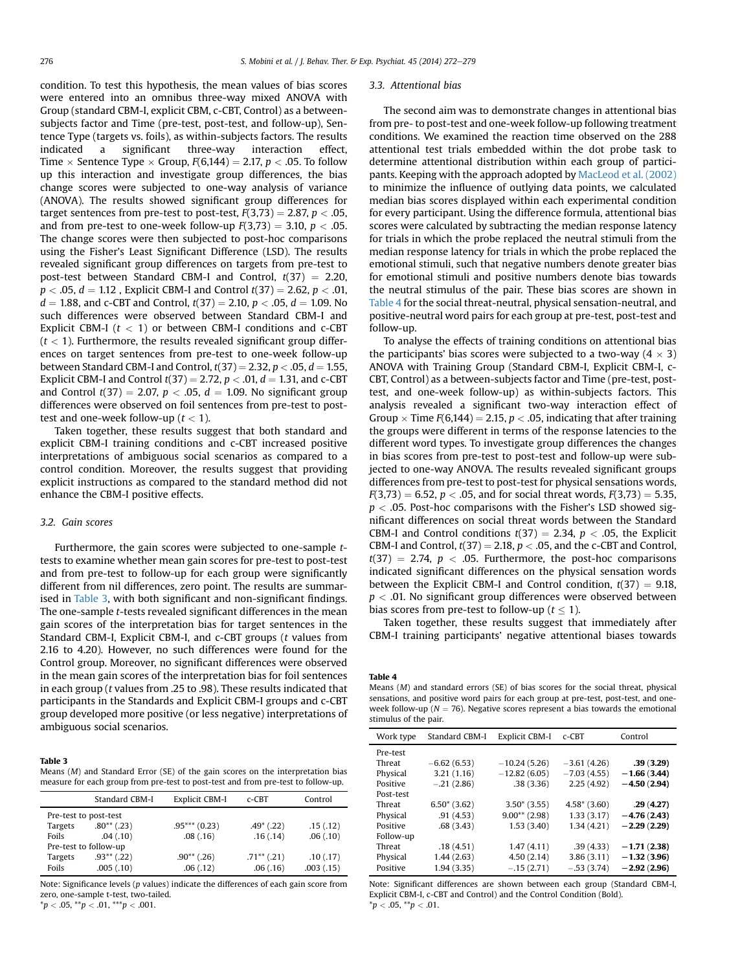condition. To test this hypothesis, the mean values of bias scores were entered into an omnibus three-way mixed ANOVA with Group (standard CBM-I, explicit CBM, c-CBT, Control) as a betweensubjects factor and Time (pre-test, post-test, and follow-up), Sentence Type (targets vs. foils), as within-subjects factors. The results indicated a significant three-way interaction effect, Time  $\times$  Sentence Type  $\times$  Group,  $F(6,144) = 2.17$ ,  $p < .05$ . To follow up this interaction and investigate group differences, the bias change scores were subjected to one-way analysis of variance (ANOVA). The results showed significant group differences for target sentences from pre-test to post-test,  $F(3,73) = 2.87$ ,  $p < .05$ , and from pre-test to one-week follow-up  $F(3,73) = 3.10$ ,  $p < .05$ . The change scores were then subjected to post-hoc comparisons using the Fisher's Least Significant Difference (LSD). The results revealed significant group differences on targets from pre-test to post-test between Standard CBM-I and Control,  $t(37) = 2.20$ ,  $p < .05$ ,  $d = 1.12$ , Explicit CBM-I and Control  $t(37) = 2.62$ ,  $p < .01$ ,  $d = 1.88$ , and c-CBT and Control,  $t(37) = 2.10$ ,  $p < .05$ ,  $d = 1.09$ . No such differences were observed between Standard CBM-I and Explicit CBM-I  $(t < 1)$  or between CBM-I conditions and c-CBT  $(t < 1)$ . Furthermore, the results revealed significant group differences on target sentences from pre-test to one-week follow-up between Standard CBM-I and Control,  $t(37) = 2.32$ ,  $p < .05$ ,  $d = 1.55$ , Explicit CBM-I and Control  $t(37) = 2.72$ ,  $p < .01$ ,  $d = 1.31$ , and c-CBT and Control  $t(37) = 2.07$ ,  $p < .05$ ,  $d = 1.09$ . No significant group differences were observed on foil sentences from pre-test to posttest and one-week follow-up  $(t < 1)$ .

Taken together, these results suggest that both standard and explicit CBM-I training conditions and c-CBT increased positive interpretations of ambiguous social scenarios as compared to a control condition. Moreover, the results suggest that providing explicit instructions as compared to the standard method did not enhance the CBM-I positive effects.

# 3.2. Gain scores

Furthermore, the gain scores were subjected to one-sample ttests to examine whether mean gain scores for pre-test to post-test and from pre-test to follow-up for each group were significantly different from nil differences, zero point. The results are summarised in Table 3, with both significant and non-significant findings. The one-sample t-tests revealed significant differences in the mean gain scores of the interpretation bias for target sentences in the Standard CBM-I, Explicit CBM-I, and c-CBT groups (t values from 2.16 to 4.20). However, no such differences were found for the Control group. Moreover, no significant differences were observed in the mean gain scores of the interpretation bias for foil sentences in each group (t values from .25 to .98). These results indicated that participants in the Standards and Explicit CBM-I groups and c-CBT group developed more positive (or less negative) interpretations of ambiguous social scenarios.

#### Table 3

Means (M) and Standard Error (SE) of the gain scores on the interpretation bias measure for each group from pre-test to post-test and from pre-test to follow-up.

|         | Standard CBM-I        | <b>Explicit CBM-I</b> | c-CBT              | Control   |
|---------|-----------------------|-----------------------|--------------------|-----------|
|         | Pre-test to post-test |                       |                    |           |
| Targets | $.80^{**}$ (.23)      | $.95***(0.23)$        | $.49^{\ast}$ (.22) | .15(.12)  |
| Foils   | .04(.10)              | .08(.16)              | .16(0.14)          | .06(.10)  |
|         | Pre-test to follow-up |                       |                    |           |
| Targets | $.93***$ (.22)        | $.90^{**}$ (.26)      | $.71***$ $(.21)$   | .10(0.17) |
| Foils   | .005(.10)             | .06(.12)              | .06(.16)           | .003(.15) |

Note: Significance levels (p values) indicate the differences of each gain score from zero, one-sample t-test, two-tailed.

 $**p* < .05, ***p* < .01, ***p* < .001.$ 

#### 3.3. Attentional bias

The second aim was to demonstrate changes in attentional bias from pre- to post-test and one-week follow-up following treatment conditions. We examined the reaction time observed on the 288 attentional test trials embedded within the dot probe task to determine attentional distribution within each group of participants. Keeping with the approach adopted by [MacLeod et al. \(2002\)](#page-7-0) to minimize the influence of outlying data points, we calculated median bias scores displayed within each experimental condition for every participant. Using the difference formula, attentional bias scores were calculated by subtracting the median response latency for trials in which the probe replaced the neutral stimuli from the median response latency for trials in which the probe replaced the emotional stimuli, such that negative numbers denote greater bias for emotional stimuli and positive numbers denote bias towards the neutral stimulus of the pair. These bias scores are shown in Table 4 for the social threat-neutral, physical sensation-neutral, and positive-neutral word pairs for each group at pre-test, post-test and follow-up.

To analyse the effects of training conditions on attentional bias the participants' bias scores were subjected to a two-way  $(4 \times 3)$ ANOVA with Training Group (Standard CBM-I, Explicit CBM-I, c-CBT, Control) as a between-subjects factor and Time (pre-test, posttest, and one-week follow-up) as within-subjects factors. This analysis revealed a significant two-way interaction effect of Group  $\times$  Time  $F(6,144) = 2.15$ ,  $p < .05$ , indicating that after training the groups were different in terms of the response latencies to the different word types. To investigate group differences the changes in bias scores from pre-test to post-test and follow-up were subjected to one-way ANOVA. The results revealed significant groups differences from pre-test to post-test for physical sensations words,  $F(3,73) = 6.52$ ,  $p < .05$ , and for social threat words,  $F(3,73) = 5.35$ ,  $p < .05$ . Post-hoc comparisons with the Fisher's LSD showed significant differences on social threat words between the Standard CBM-I and Control conditions  $t(37) = 2.34$ ,  $p < .05$ , the Explicit CBM-I and Control,  $t(37) = 2.18$ ,  $p < .05$ , and the c-CBT and Control,  $t(37) = 2.74$ ,  $p < .05$ . Furthermore, the post-hoc comparisons indicated significant differences on the physical sensation words between the Explicit CBM-I and Control condition,  $t(37) = 9.18$ ,  $p < .01$ . No significant group differences were observed between bias scores from pre-test to follow-up ( $t \le 1$ ).

Taken together, these results suggest that immediately after CBM-I training participants' negative attentional biases towards

#### Table 4

Means  $(M)$  and standard errors (SE) of bias scores for the social threat, physical sensations, and positive word pairs for each group at pre-test, post-test, and oneweek follow-up ( $N = 76$ ). Negative scores represent a bias towards the emotional stimulus of the pair.

| Work type | Standard CBM-I    | <b>Explicit CBM-I</b> | $c$ -CBT      | Control       |
|-----------|-------------------|-----------------------|---------------|---------------|
| Pre-test  |                   |                       |               |               |
| Threat    | $-6.62(6.53)$     | $-10.24(5.26)$        | $-3.61(4.26)$ | .39(3.29)     |
| Physical  | 3.21(1.16)        | $-12.82(6.05)$        | $-7.03(4.55)$ | $-1.66(3.44)$ |
| Positive  | $-.21(2.86)$      | .38(3.36)             | 2.25(4.92)    | $-4.50(2.94)$ |
| Post-test |                   |                       |               |               |
| Threat    | $6.50^{*}$ (3.62) | $3.50^{*}$ (3.55)     | $4.58*(3.60)$ | .29(4.27)     |
| Physical  | .91(4.53)         | $9.00**$ (2.98)       | 1.33(3.17)    | $-4.76(2.43)$ |
| Positive  | .68(3.43)         | 1.53(3.40)            | 1.34(4.21)    | $-2.29(2.29)$ |
| Follow-up |                   |                       |               |               |
| Threat    | .18(4.51)         | 1.47(4.11)            | .39(4.33)     | $-1.71(2.38)$ |
| Physical  | 1.44(2.63)        | 4.50(2.14)            | 3.86(3.11)    | $-1.32(3.96)$ |
| Positive  | 1.94 (3.35)       | $-.15(2.71)$          | $-.53(3.74)$  | $-2.92(2.96)$ |
|           |                   |                       |               |               |

Note: Significant differences are shown between each group (Standard CBM-I, Explicit CBM-I, c-CBT and Control) and the Control Condition (Bold).  $*p < .05, **p < .01.$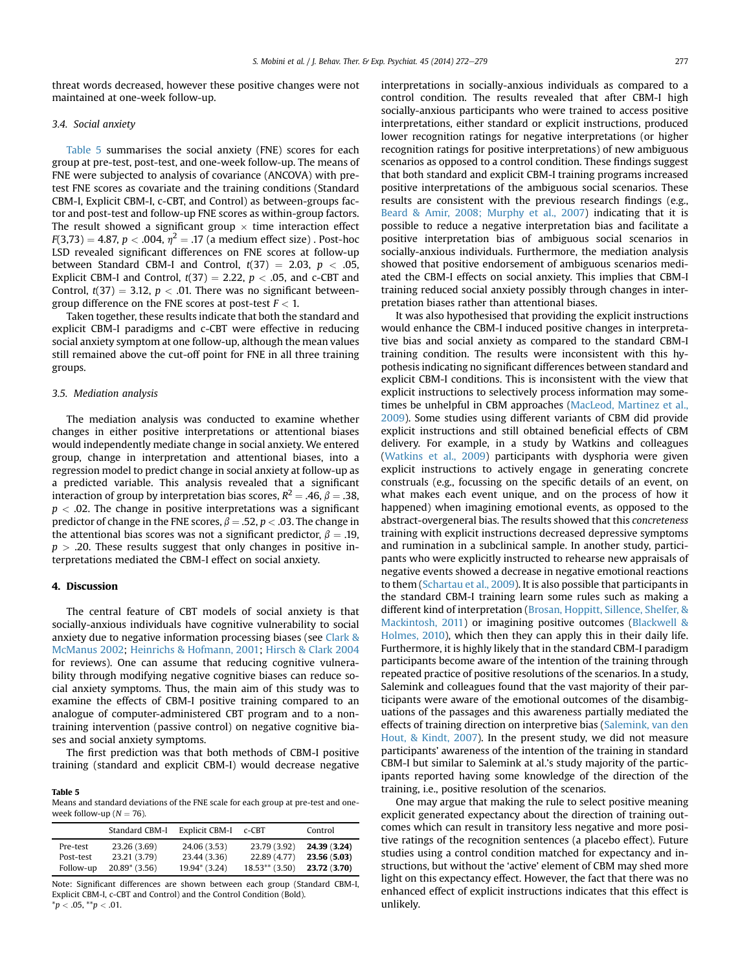threat words decreased, however these positive changes were not maintained at one-week follow-up.

## 3.4. Social anxiety

Table 5 summarises the social anxiety (FNE) scores for each group at pre-test, post-test, and one-week follow-up. The means of FNE were subjected to analysis of covariance (ANCOVA) with pretest FNE scores as covariate and the training conditions (Standard CBM-I, Explicit CBM-I, c-CBT, and Control) as between-groups factor and post-test and follow-up FNE scores as within-group factors. The result showed a significant group  $\times$  time interaction effect  $F(3,73) = 4.87$ ,  $p < .004$ ,  $\eta^2 = .17$  (a medium effect size). Post-hoc LSD revealed significant differences on FNE scores at follow-up between Standard CBM-I and Control,  $t(37) = 2.03$ ,  $p < .05$ , Explicit CBM-I and Control,  $t(37) = 2.22$ ,  $p < .05$ , and c-CBT and Control,  $t(37) = 3.12$ ,  $p < .01$ . There was no significant betweengroup difference on the FNE scores at post-test  $F < 1$ .

Taken together, these results indicate that both the standard and explicit CBM-I paradigms and c-CBT were effective in reducing social anxiety symptom at one follow-up, although the mean values still remained above the cut-off point for FNE in all three training groups.

## 3.5. Mediation analysis

The mediation analysis was conducted to examine whether changes in either positive interpretations or attentional biases would independently mediate change in social anxiety. We entered group, change in interpretation and attentional biases, into a regression model to predict change in social anxiety at follow-up as a predicted variable. This analysis revealed that a significant interaction of group by interpretation bias scores,  $R^2 = .46$ ,  $\beta = .38$ ,  $p < .02$ . The change in positive interpretations was a significant predictor of change in the FNE scores,  $\beta = .52$ ,  $p < .03$ . The change in the attentional bias scores was not a significant predictor,  $\beta = .19$ ,  $p > .20$ . These results suggest that only changes in positive interpretations mediated the CBM-I effect on social anxiety.

#### 4. Discussion

The central feature of CBT models of social anxiety is that socially-anxious individuals have cognitive vulnerability to social anxiety due to negative information processing biases (see [Clark &](#page-7-0) [McManus 2002](#page-7-0); [Heinrichs & Hofmann, 2001;](#page-7-0) [Hirsch & Clark 2004](#page-7-0) for reviews). One can assume that reducing cognitive vulnerability through modifying negative cognitive biases can reduce social anxiety symptoms. Thus, the main aim of this study was to examine the effects of CBM-I positive training compared to an analogue of computer-administered CBT program and to a nontraining intervention (passive control) on negative cognitive biases and social anxiety symptoms.

The first prediction was that both methods of CBM-I positive training (standard and explicit CBM-I) would decrease negative

#### Table 5

Means and standard deviations of the FNE scale for each group at pre-test and oneweek follow-up ( $N = 76$ ).

|           | Standard CBM-I  | Explicit CBM-I  | c-CBT            | Control      |
|-----------|-----------------|-----------------|------------------|--------------|
| Pre-test  | 23.26 (3.69)    | 24.06 (3.53)    | 23.79 (3.92)     | 24.39 (3.24) |
| Post-test | 23.21 (3.79)    | 23.44 (3.36)    | 22.89 (4.77)     | 23.56(5.03)  |
| Follow-up | $20.89^*(3.56)$ | $19.94*$ (3.24) | $18.53**$ (3.50) | 23.72 (3.70) |

Note: Significant differences are shown between each group (Standard CBM-I, Explicit CBM-I, c-CBT and Control) and the Control Condition (Bold).  $*p < .05, **p < .01.$ 

interpretations in socially-anxious individuals as compared to a control condition. The results revealed that after CBM-I high socially-anxious participants who were trained to access positive interpretations, either standard or explicit instructions, produced lower recognition ratings for negative interpretations (or higher recognition ratings for positive interpretations) of new ambiguous scenarios as opposed to a control condition. These findings suggest that both standard and explicit CBM-I training programs increased positive interpretations of the ambiguous social scenarios. These results are consistent with the previous research findings (e.g., [Beard & Amir, 2008; Murphy et al., 2007\)](#page-7-0) indicating that it is possible to reduce a negative interpretation bias and facilitate a positive interpretation bias of ambiguous social scenarios in socially-anxious individuals. Furthermore, the mediation analysis showed that positive endorsement of ambiguous scenarios mediated the CBM-I effects on social anxiety. This implies that CBM-I training reduced social anxiety possibly through changes in interpretation biases rather than attentional biases.

It was also hypothesised that providing the explicit instructions would enhance the CBM-I induced positive changes in interpretative bias and social anxiety as compared to the standard CBM-I training condition. The results were inconsistent with this hypothesis indicating no significant differences between standard and explicit CBM-I conditions. This is inconsistent with the view that explicit instructions to selectively process information may sometimes be unhelpful in CBM approaches [\(MacLeod, Martinez et al.,](#page-7-0) [2009\)](#page-7-0). Some studies using different variants of CBM did provide explicit instructions and still obtained beneficial effects of CBM delivery. For example, in a study by Watkins and colleagues ([Watkins et al., 2009\)](#page-7-0) participants with dysphoria were given explicit instructions to actively engage in generating concrete construals (e.g., focussing on the specific details of an event, on what makes each event unique, and on the process of how it happened) when imagining emotional events, as opposed to the abstract-overgeneral bias. The results showed that this concreteness training with explicit instructions decreased depressive symptoms and rumination in a subclinical sample. In another study, participants who were explicitly instructed to rehearse new appraisals of negative events showed a decrease in negative emotional reactions to them [\(Schartau et al., 2009\)](#page-7-0). It is also possible that participants in the standard CBM-I training learn some rules such as making a different kind of interpretation ([Brosan, Hoppitt, Sillence, Shelfer, &](#page-7-0) [Mackintosh, 2011](#page-7-0)) or imagining positive outcomes ([Blackwell &](#page-7-0) [Holmes, 2010](#page-7-0)), which then they can apply this in their daily life. Furthermore, it is highly likely that in the standard CBM-I paradigm participants become aware of the intention of the training through repeated practice of positive resolutions of the scenarios. In a study, Salemink and colleagues found that the vast majority of their participants were aware of the emotional outcomes of the disambiguations of the passages and this awareness partially mediated the effects of training direction on interpretive bias ([Salemink, van den](#page-7-0) [Hout, & Kindt, 2007](#page-7-0)). In the present study, we did not measure participants' awareness of the intention of the training in standard CBM-I but similar to Salemink at al.'s study majority of the participants reported having some knowledge of the direction of the training, i.e., positive resolution of the scenarios.

One may argue that making the rule to select positive meaning explicit generated expectancy about the direction of training outcomes which can result in transitory less negative and more positive ratings of the recognition sentences (a placebo effect). Future studies using a control condition matched for expectancy and instructions, but without the 'active' element of CBM may shed more light on this expectancy effect. However, the fact that there was no enhanced effect of explicit instructions indicates that this effect is unlikely.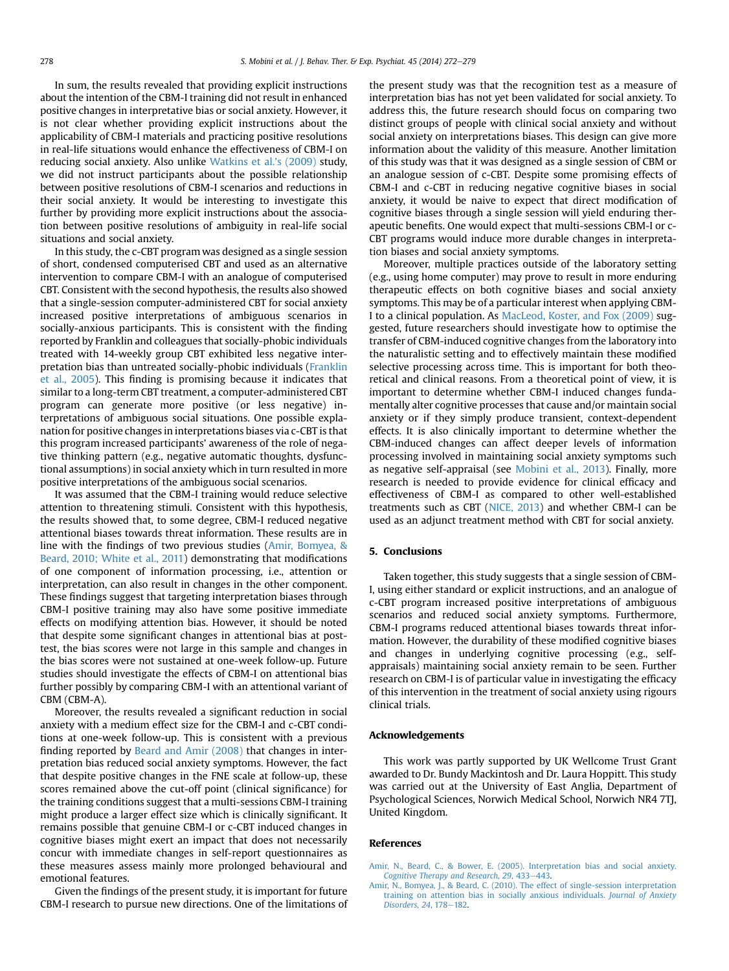<span id="page-6-0"></span>In sum, the results revealed that providing explicit instructions about the intention of the CBM-I training did not result in enhanced positive changes in interpretative bias or social anxiety. However, it is not clear whether providing explicit instructions about the applicability of CBM-I materials and practicing positive resolutions in real-life situations would enhance the effectiveness of CBM-I on reducing social anxiety. Also unlike [Watkins et al.](#page-7-0)'s (2009) study, we did not instruct participants about the possible relationship between positive resolutions of CBM-I scenarios and reductions in their social anxiety. It would be interesting to investigate this further by providing more explicit instructions about the association between positive resolutions of ambiguity in real-life social situations and social anxiety.

In this study, the c-CBT program was designed as a single session of short, condensed computerised CBT and used as an alternative intervention to compare CBM-I with an analogue of computerised CBT. Consistent with the second hypothesis, the results also showed that a single-session computer-administered CBT for social anxiety increased positive interpretations of ambiguous scenarios in socially-anxious participants. This is consistent with the finding reported by Franklin and colleagues that socially-phobic individuals treated with 14-weekly group CBT exhibited less negative interpretation bias than untreated socially-phobic individuals ([Franklin](#page-7-0) [et al., 2005](#page-7-0)). This finding is promising because it indicates that similar to a long-term CBT treatment, a computer-administered CBT program can generate more positive (or less negative) interpretations of ambiguous social situations. One possible explanation for positive changes in interpretations biases via c-CBT is that this program increased participants' awareness of the role of negative thinking pattern (e.g., negative automatic thoughts, dysfunctional assumptions) in social anxiety which in turn resulted in more positive interpretations of the ambiguous social scenarios.

It was assumed that the CBM-I training would reduce selective attention to threatening stimuli. Consistent with this hypothesis, the results showed that, to some degree, CBM-I reduced negative attentional biases towards threat information. These results are in line with the findings of two previous studies (Amir, Bomyea, & Beard, 2010; White et al., 2011) demonstrating that modifications of one component of information processing, i.e., attention or interpretation, can also result in changes in the other component. These findings suggest that targeting interpretation biases through CBM-I positive training may also have some positive immediate effects on modifying attention bias. However, it should be noted that despite some significant changes in attentional bias at posttest, the bias scores were not large in this sample and changes in the bias scores were not sustained at one-week follow-up. Future studies should investigate the effects of CBM-I on attentional bias further possibly by comparing CBM-I with an attentional variant of CBM (CBM-A).

Moreover, the results revealed a significant reduction in social anxiety with a medium effect size for the CBM-I and c-CBT conditions at one-week follow-up. This is consistent with a previous finding reported by [Beard and Amir \(2008\)](#page-7-0) that changes in interpretation bias reduced social anxiety symptoms. However, the fact that despite positive changes in the FNE scale at follow-up, these scores remained above the cut-off point (clinical significance) for the training conditions suggest that a multi-sessions CBM-I training might produce a larger effect size which is clinically significant. It remains possible that genuine CBM-I or c-CBT induced changes in cognitive biases might exert an impact that does not necessarily concur with immediate changes in self-report questionnaires as these measures assess mainly more prolonged behavioural and emotional features.

Given the findings of the present study, it is important for future CBM-I research to pursue new directions. One of the limitations of the present study was that the recognition test as a measure of interpretation bias has not yet been validated for social anxiety. To address this, the future research should focus on comparing two distinct groups of people with clinical social anxiety and without social anxiety on interpretations biases. This design can give more information about the validity of this measure. Another limitation of this study was that it was designed as a single session of CBM or an analogue session of c-CBT. Despite some promising effects of CBM-I and c-CBT in reducing negative cognitive biases in social anxiety, it would be naive to expect that direct modification of cognitive biases through a single session will yield enduring therapeutic benefits. One would expect that multi-sessions CBM-I or c-CBT programs would induce more durable changes in interpretation biases and social anxiety symptoms.

Moreover, multiple practices outside of the laboratory setting (e.g., using home computer) may prove to result in more enduring therapeutic effects on both cognitive biases and social anxiety symptoms. This may be of a particular interest when applying CBM-I to a clinical population. As [MacLeod, Koster, and Fox \(2009\)](#page-7-0) suggested, future researchers should investigate how to optimise the transfer of CBM-induced cognitive changes from the laboratory into the naturalistic setting and to effectively maintain these modified selective processing across time. This is important for both theoretical and clinical reasons. From a theoretical point of view, it is important to determine whether CBM-I induced changes fundamentally alter cognitive processes that cause and/or maintain social anxiety or if they simply produce transient, context-dependent effects. It is also clinically important to determine whether the CBM-induced changes can affect deeper levels of information processing involved in maintaining social anxiety symptoms such as negative self-appraisal (see [Mobini et al., 2013\)](#page-7-0). Finally, more research is needed to provide evidence for clinical efficacy and effectiveness of CBM-I as compared to other well-established treatments such as CBT ([NICE, 2013](#page-7-0)) and whether CBM-I can be used as an adjunct treatment method with CBT for social anxiety.

# 5. Conclusions

Taken together, this study suggests that a single session of CBM-I, using either standard or explicit instructions, and an analogue of c-CBT program increased positive interpretations of ambiguous scenarios and reduced social anxiety symptoms. Furthermore, CBM-I programs reduced attentional biases towards threat information. However, the durability of these modified cognitive biases and changes in underlying cognitive processing (e.g., selfappraisals) maintaining social anxiety remain to be seen. Further research on CBM-I is of particular value in investigating the efficacy of this intervention in the treatment of social anxiety using rigours clinical trials.

#### Acknowledgements

This work was partly supported by UK Wellcome Trust Grant awarded to Dr. Bundy Mackintosh and Dr. Laura Hoppitt. This study was carried out at the University of East Anglia, Department of Psychological Sciences, Norwich Medical School, Norwich NR4 7TJ, United Kingdom.

#### References

- [Amir, N., Beard, C., & Bower, E. \(2005\). Interpretation bias and social anxiety.](http://refhub.elsevier.com/S0005-7916(13)00105-5/sref1) [Cognitive Therapy and Research, 29](http://refhub.elsevier.com/S0005-7916(13)00105-5/sref1), 433-[443.](http://refhub.elsevier.com/S0005-7916(13)00105-5/sref1)
- [Amir, N., Bomyea, J., & Beard, C. \(2010\). The effect of single-session interpretation](http://refhub.elsevier.com/S0005-7916(13)00105-5/sref2) [training on attention bias in socially anxious individuals.](http://refhub.elsevier.com/S0005-7916(13)00105-5/sref2) Journal of Anxiety [Disorders, 24](http://refhub.elsevier.com/S0005-7916(13)00105-5/sref2), 178-[182.](http://refhub.elsevier.com/S0005-7916(13)00105-5/sref2)